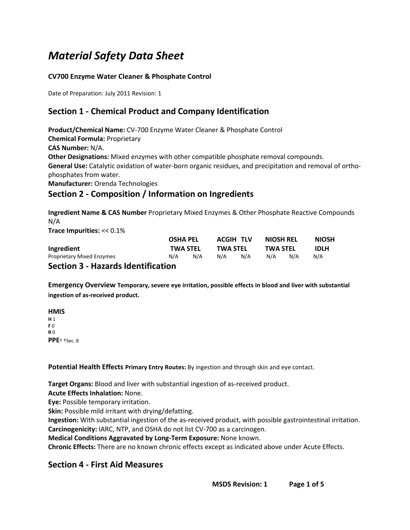# *Material Safety Data Sheet*

### **CV700 Enzyme WaterCleaner & Phosphate Control**

Date of Preparation: July 2011 Revision: 1

# **Section 1 - Chemical Product and Company Identification**

**Product/Chemical Name:** CV-700 Enzyme WaterCleaner & Phosphate Control **Chemical Formula:** Proprietary **CAS Number:** N/A. **Other Designations:** Mixed enzymes with other compatible phosphate removal compounds. **General Use:** Catalytic oxidation of water-born organic residues, and precipitation and removal of orthophosphates from water. **Manufacturer:** Orenda Technologies

### **Section 2 - Composition / Information on Ingredients**

**Ingredient Name & CAS Number** Proprietary Mixed Enzymes & Other Phosphate Reactive Compounds N/A

**Trace Impurities:** << 0.1%

|                                           |     | <b>OSHA PEL</b><br><b>TWA STEL</b> |     | <b>ACGIH TLV</b><br><b>TWA STEL</b> |     | <b>NIOSH REL</b> | <b>NIOSH</b><br><b>IDLH</b> |
|-------------------------------------------|-----|------------------------------------|-----|-------------------------------------|-----|------------------|-----------------------------|
| Ingredient                                |     |                                    |     |                                     |     | <b>TWA STEL</b>  |                             |
| <b>Proprietary Mixed Enzymes</b>          | N/A | N/A                                | N/A | N/A                                 | N/A | N/A              | N/A                         |
| <b>Section 3 - Hazards Identification</b> |     |                                    |     |                                     |     |                  |                             |

**Emergency Overview Temporary, severe eye irritation, possible effects in blood and liver with substantial ingestion of as-received product.**

**HMIS H** 1 **F** 0 **R** 0 **PPE**† †Sec. 8

**Potential Health Effects Primary Entry Routes:** By ingestion and through skin and eye contact.

**Target Organs:** Blood and liver with substantial ingestion of as-received product.

**Acute Effects Inhalation:** None.

**Eye:** Possible temporary irritation.

**Skin:** Possible mild irritant with drying/defatting.

**Ingestion:** With substantial ingestion of the as-received product, with possible gastrointestinal irritation. **Carcinogenicity:** IARC, NTP, and OSHA do not list CV-700 as a carcinogen.

**Medical Conditions Aggravated by Long-Term Exposure:** None known.

**Chronic Effects:** There are no known chronic effects except as indicated above under Acute Effects.

### **Section 4 - First Aid Measures**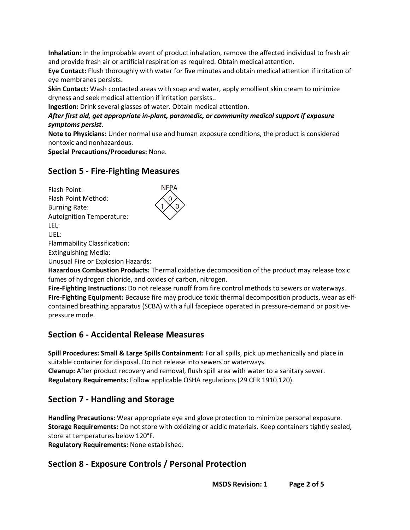**Inhalation:** In the improbable event of product inhalation, remove the affected individual to fresh air and provide fresh air or artificial respiration as required. Obtain medical attention.

**Eye Contact:** Flush thoroughly with water for five minutes and obtain medical attention if irritation of eye membranes persists.

**Skin Contact:** Wash contacted areas with soap and water, apply emollient skin cream to minimize dryness and seek medical attention if irritation persists..

**Ingestion:** Drink several glasses of water. Obtain medical attention.

### *After first aid, get appropriate in-plant, paramedic, or community medical support if exposure symptoms persist.*

**Note to Physicians:** Under normal use and human exposure conditions, the product is considered nontoxic and nonhazardous.

**Special Precautions/Procedures:** None.

### **Section 5 - Fire-Fighting Measures**

Flash Point: Flash Point Method: Burning Rate: Autoignition Temperature: LEL: UEL: Flammability Classification: Extinguishing Media:

Unusual Fire or Explosion Hazards:

**Hazardous Combustion Products:** Thermal oxidative decomposition of the product may release toxic fumes of hydrogen chloride, and oxides of carbon, nitrogen.

**Fire-Fighting Instructions:** Do not release runoff from fire control methods to sewers or waterways. **Fire-Fighting Equipment:** Because fire may produce toxic thermal decomposition products, wear as elfcontained breathing apparatus (SCBA) with a full facepiece operated in pressure-demand or positivepressure mode.

### **Section 6 - Accidental Release Measures**

**Spill Procedures: Small & Large Spills Containment:** For all spills, pick up mechanically and place in suitable container for disposal. Do not release into sewers or waterways. **Cleanup:** After product recovery and removal, flush spill area with water to a sanitary sewer. **Regulatory Requirements:** Follow applicable OSHA regulations (29 CFR 1910.120).

### **Section 7 - Handling and Storage**

**Handling Precautions:** Wear appropriate eye and glove protection to minimize personal exposure. **Storage Requirements:** Do not store with oxidizing or acidic materials. Keep containers tightly sealed, store at temperatures below 120°F.

**Regulatory Requirements:** None established.

### **Section 8 - Exposure Controls / Personal Protection**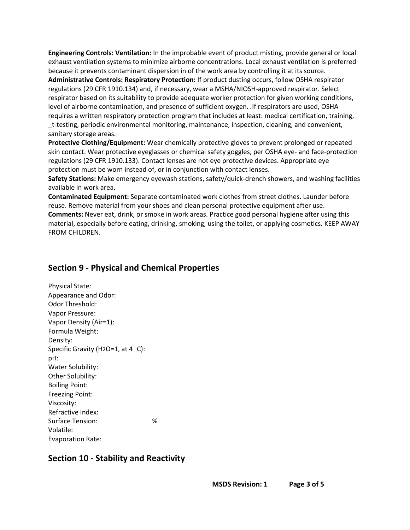**Engineering Controls: Ventilation:** In the improbable event of product misting, provide general or local exhaust ventilation systems to minimize airborne concentrations. Local exhaust ventilation is preferred because it prevents contaminant dispersion in of the work area by controlling it at its source.

**Administrative Controls: Respiratory Protection:** If product dusting occurs, follow OSHA respirator regulations (29 CFR 1910.134) and, if necessary, wear a MSHA/NIOSH-approved respirator. Select respirator based on its suitability to provide adequate worker protection for given working conditions, level of airborne contamination, and presence of sufficient oxygen. *.*If respirators are used, OSHA requires a written respiratory protection program that includes at least: medical certification, training, \_t-testing, periodic environmental monitoring, maintenance, inspection, cleaning, and convenient, sanitary storage areas.

**Protective Clothing/Equipment:** Wear chemically protective gloves to prevent prolonged or repeated skin contact. Wear protective eyeglasses or chemical safety goggles, per OSHA eye- and face-protection regulations (29 CFR 1910.133). Contact lenses are not eye protective devices. Appropriate eye protection must be worn instead of, or in conjunction with contact lenses.

**Safety Stations:** Make emergency eyewash stations, safety/quick-drench showers, and washing facilities available in work area.

**Contaminated Equipment:**Separate contaminated work clothes from street clothes. Launder before reuse. Remove material from your shoes and clean personal protective equipment after use. **Comments:** Never eat, drink, or smoke in work areas. Practice good personal hygiene after using this material, especially before eating, drinking, smoking, using the toilet, or applying cosmetics. KEEP AWAY

# **Section 9 - Physical and Chemical Properties**

Physical State: Appearance and Odor: Odor Threshold: Vapor Pressure: Vapor Density (Air=1): Formula Weight: Density: Specific Gravity (H2O=1, at 4 C): pH: Water Solubility: Other Solubility: Boiling Point: Freezing Point: Viscosity: Refractive Index: Surface Tension: % Volatile: Evaporation Rate:

FROM CHILDREN.

## **Section 10 - Stability and Reactivity**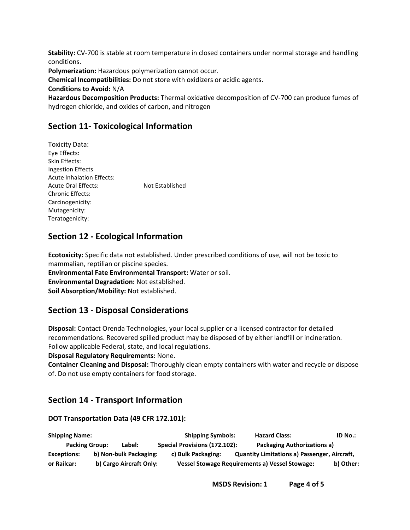**Stability:** CV-700 is stable at room temperature in closed containers under normal storage and handling conditions.

**Polymerization:** Hazardous polymerization cannot occur.

**Chemical Incompatibilities:** Do not store with oxidizers or acidic agents.

**Conditions to Avoid:** N/A

**Hazardous Decomposition Products:** Thermal oxidative decomposition of CV-700 can produce fumes of hydrogen chloride, and oxides of carbon, and nitrogen

# **Section 11- Toxicological Information**

Toxicity Data: Eye Effects: Skin Effects: Ingestion Effects Acute Inhalation Effects: Acute Oral Effects: Not Established Chronic Effects: Carcinogenicity: Mutagenicity: Teratogenicity:

## **Section 12 - Ecological Information**

**Ecotoxicity:** Specific data not established. Under prescribed conditions of use, will not be toxic to mammalian, reptilian or piscine species. **Environmental Fate Environmental Transport:** Water or soil. **Environmental Degradation:** Not established. **Soil Absorption/Mobility:** Not established.

### **Section 13 - Disposal Considerations**

**Disposal:** Contact Orenda Technologies, your local supplier or a licensed contractor for detailed recommendations. Recovered spilled product may be disposed of by either landfill or incineration. Follow applicable Federal, state, and local regulations.

**Disposal Regulatory Requirements:** None.

**Container Cleaning and Disposal:** Thoroughly clean empty containers with water and recycle or dispose of. Do not use empty containers for food storage.

## **Section 14 - Transport Information**

### **DOT Transportation Data (49 CFR 172.101):**

**Shipping Name: Shipping Symbols: Hazard Class: ID No.: Packing Group: Label: Special Provisions (172.102): Packaging Authorizations a) Exceptions: b) Non-bulk Packaging: c) Bulk Packaging: Quantity Limitations a) Passenger, Aircraft, or Railcar: b) Cargo Aircraft Only: Vessel Stowage Requirements a) Vessel Stowage: b) Other:**